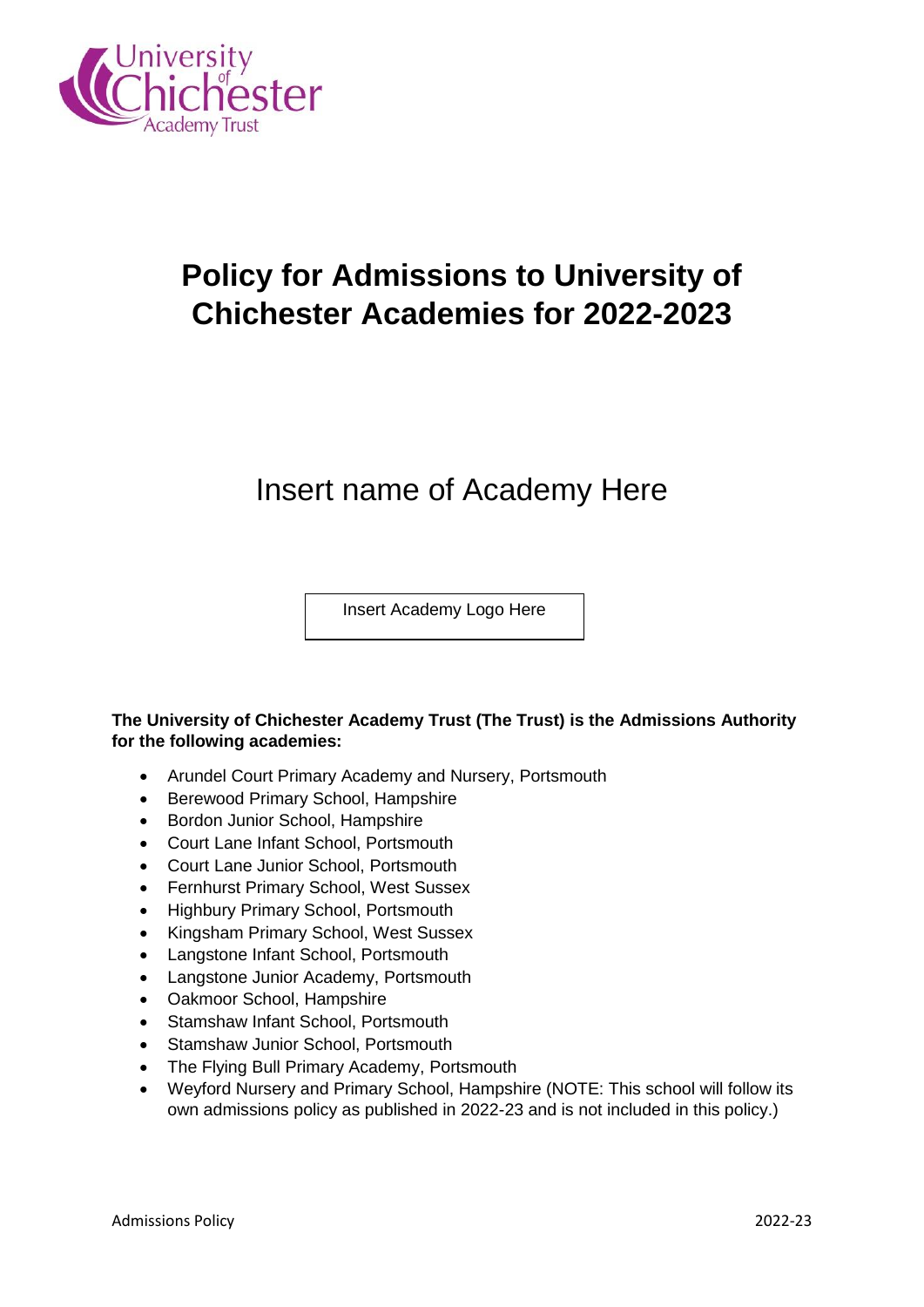

# **Policy for Admissions to University of Chichester Academies for 2022-2023**

# Insert name of Academy Here

Insert Academy Logo Here

# **The University of Chichester Academy Trust (The Trust) is the Admissions Authority for the following academies:**

- Arundel Court Primary Academy and Nursery, Portsmouth
- Berewood Primary School, Hampshire
- Bordon Junior School, Hampshire
- Court Lane Infant School, Portsmouth
- Court Lane Junior School, Portsmouth
- Fernhurst Primary School, West Sussex
- Highbury Primary School, Portsmouth
- Kingsham Primary School, West Sussex
- Langstone Infant School, Portsmouth
- Langstone Junior Academy, Portsmouth
- Oakmoor School, Hampshire
- Stamshaw Infant School, Portsmouth
- Stamshaw Junior School, Portsmouth
- The Flying Bull Primary Academy, Portsmouth
- Weyford Nursery and Primary School, Hampshire (NOTE: This school will follow its own admissions policy as published in 2022-23 and is not included in this policy.)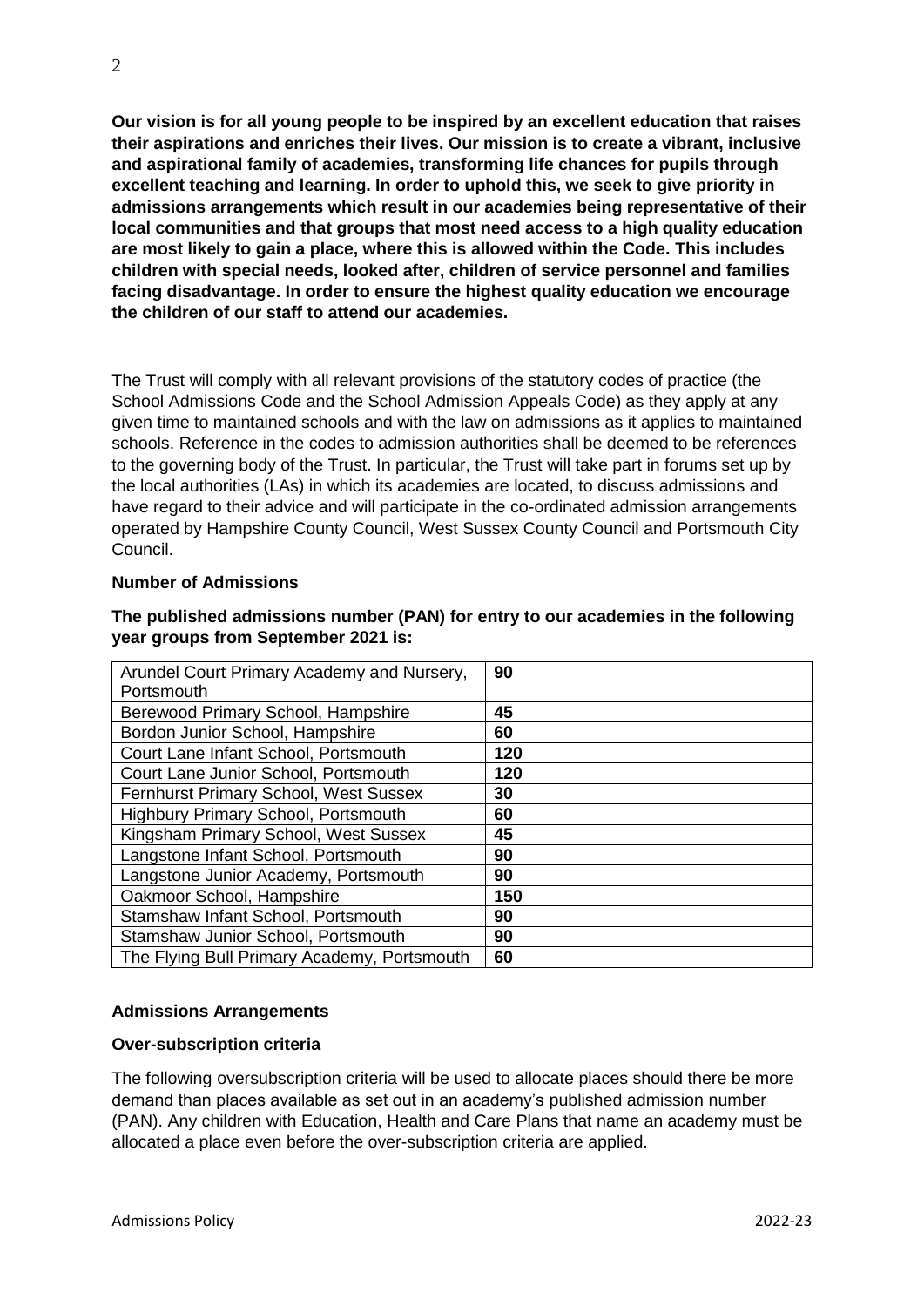**Our vision is for all young people to be inspired by an excellent education that raises their aspirations and enriches their lives. Our mission is to create a vibrant, inclusive and aspirational family of academies, transforming life chances for pupils through excellent teaching and learning. In order to uphold this, we seek to give priority in admissions arrangements which result in our academies being representative of their local communities and that groups that most need access to a high quality education are most likely to gain a place, where this is allowed within the Code. This includes children with special needs, looked after, children of service personnel and families facing disadvantage. In order to ensure the highest quality education we encourage the children of our staff to attend our academies.** 

The Trust will comply with all relevant provisions of the statutory codes of practice (the School Admissions Code and the School Admission Appeals Code) as they apply at any given time to maintained schools and with the law on admissions as it applies to maintained schools. Reference in the codes to admission authorities shall be deemed to be references to the governing body of the Trust. In particular, the Trust will take part in forums set up by the local authorities (LAs) in which its academies are located, to discuss admissions and have regard to their advice and will participate in the co-ordinated admission arrangements operated by Hampshire County Council, West Sussex County Council and Portsmouth City Council.

## **Number of Admissions**

| Arundel Court Primary Academy and Nursery,   | 90  |
|----------------------------------------------|-----|
| Portsmouth                                   |     |
| Berewood Primary School, Hampshire           | 45  |
| Bordon Junior School, Hampshire              | 60  |
| Court Lane Infant School, Portsmouth         | 120 |
| Court Lane Junior School, Portsmouth         | 120 |
| <b>Fernhurst Primary School, West Sussex</b> | 30  |
| <b>Highbury Primary School, Portsmouth</b>   | 60  |
| Kingsham Primary School, West Sussex         | 45  |
| Langstone Infant School, Portsmouth          | 90  |
| Langstone Junior Academy, Portsmouth         | 90  |
| Oakmoor School, Hampshire                    | 150 |
| Stamshaw Infant School, Portsmouth           | 90  |
| Stamshaw Junior School, Portsmouth           | 90  |
| The Flying Bull Primary Academy, Portsmouth  | 60  |

# **The published admissions number (PAN) for entry to our academies in the following year groups from September 2021 is:**

# **Admissions Arrangements**

# **Over-subscription criteria**

The following oversubscription criteria will be used to allocate places should there be more demand than places available as set out in an academy's published admission number (PAN). Any children with Education, Health and Care Plans that name an academy must be allocated a place even before the over-subscription criteria are applied.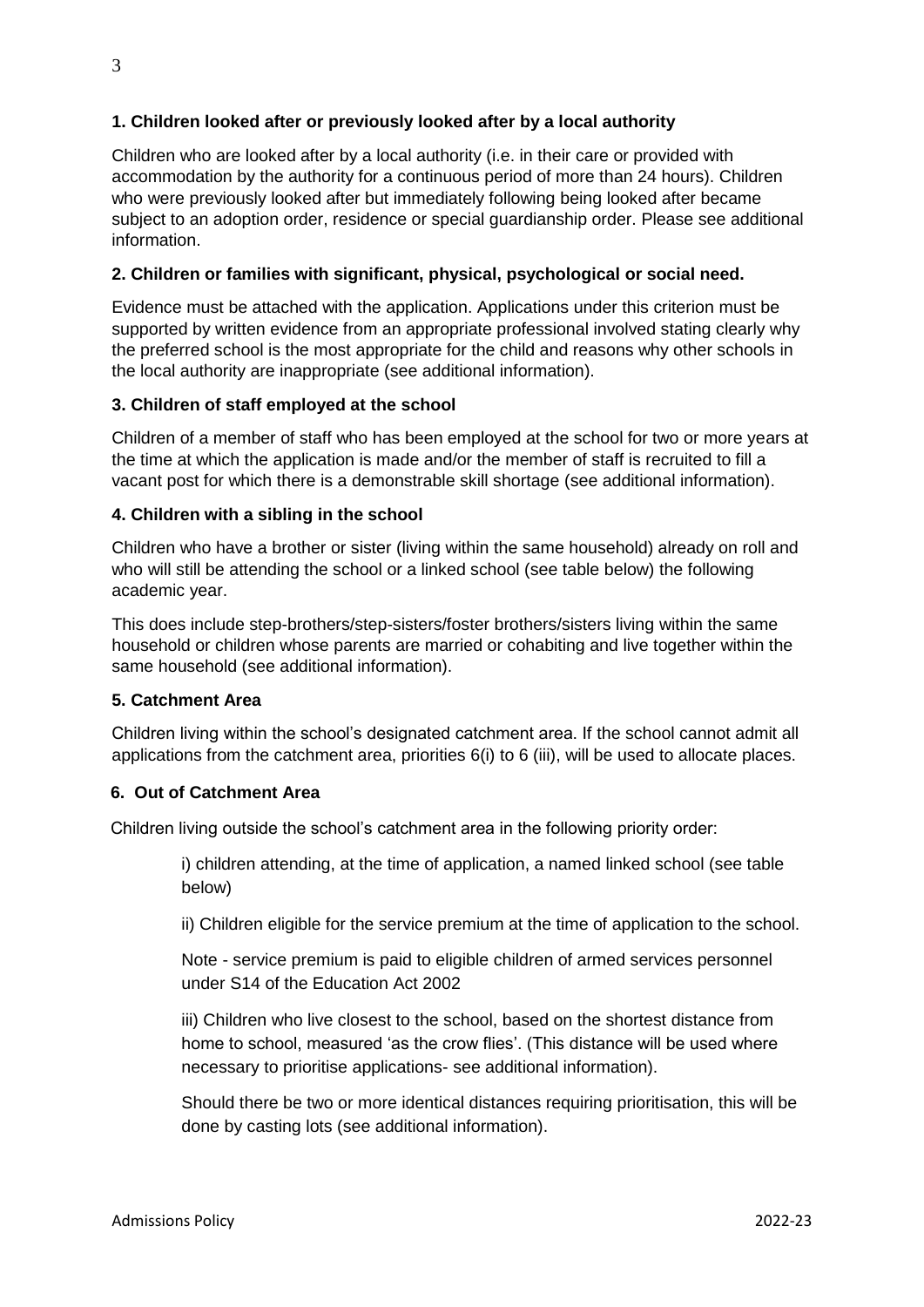# **1. Children looked after or previously looked after by a local authority**

Children who are looked after by a local authority (i.e. in their care or provided with accommodation by the authority for a continuous period of more than 24 hours). Children who were previously looked after but immediately following being looked after became subject to an adoption order, residence or special guardianship order. Please see additional information.

# **2. Children or families with significant, physical, psychological or social need.**

Evidence must be attached with the application. Applications under this criterion must be supported by written evidence from an appropriate professional involved stating clearly why the preferred school is the most appropriate for the child and reasons why other schools in the local authority are inappropriate (see additional information).

# **3. Children of staff employed at the school**

Children of a member of staff who has been employed at the school for two or more years at the time at which the application is made and/or the member of staff is recruited to fill a vacant post for which there is a demonstrable skill shortage (see additional information).

# **4. Children with a sibling in the school**

Children who have a brother or sister (living within the same household) already on roll and who will still be attending the school or a linked school (see table below) the following academic year.

This does include step-brothers/step-sisters/foster brothers/sisters living within the same household or children whose parents are married or cohabiting and live together within the same household (see additional information).

# **5. Catchment Area**

Children living within the school's designated catchment area. If the school cannot admit all applications from the catchment area, priorities 6(i) to 6 (iii), will be used to allocate places.

# **6. Out of Catchment Area**

Children living outside the school's catchment area in the following priority order:

i) children attending, at the time of application, a named linked school (see table below)

ii) Children eligible for the service premium at the time of application to the school.

Note - service premium is paid to eligible children of armed services personnel under S14 of the Education Act 2002

iii) Children who live closest to the school, based on the shortest distance from home to school, measured 'as the crow flies'. (This distance will be used where necessary to prioritise applications- see additional information).

Should there be two or more identical distances requiring prioritisation, this will be done by casting lots (see additional information).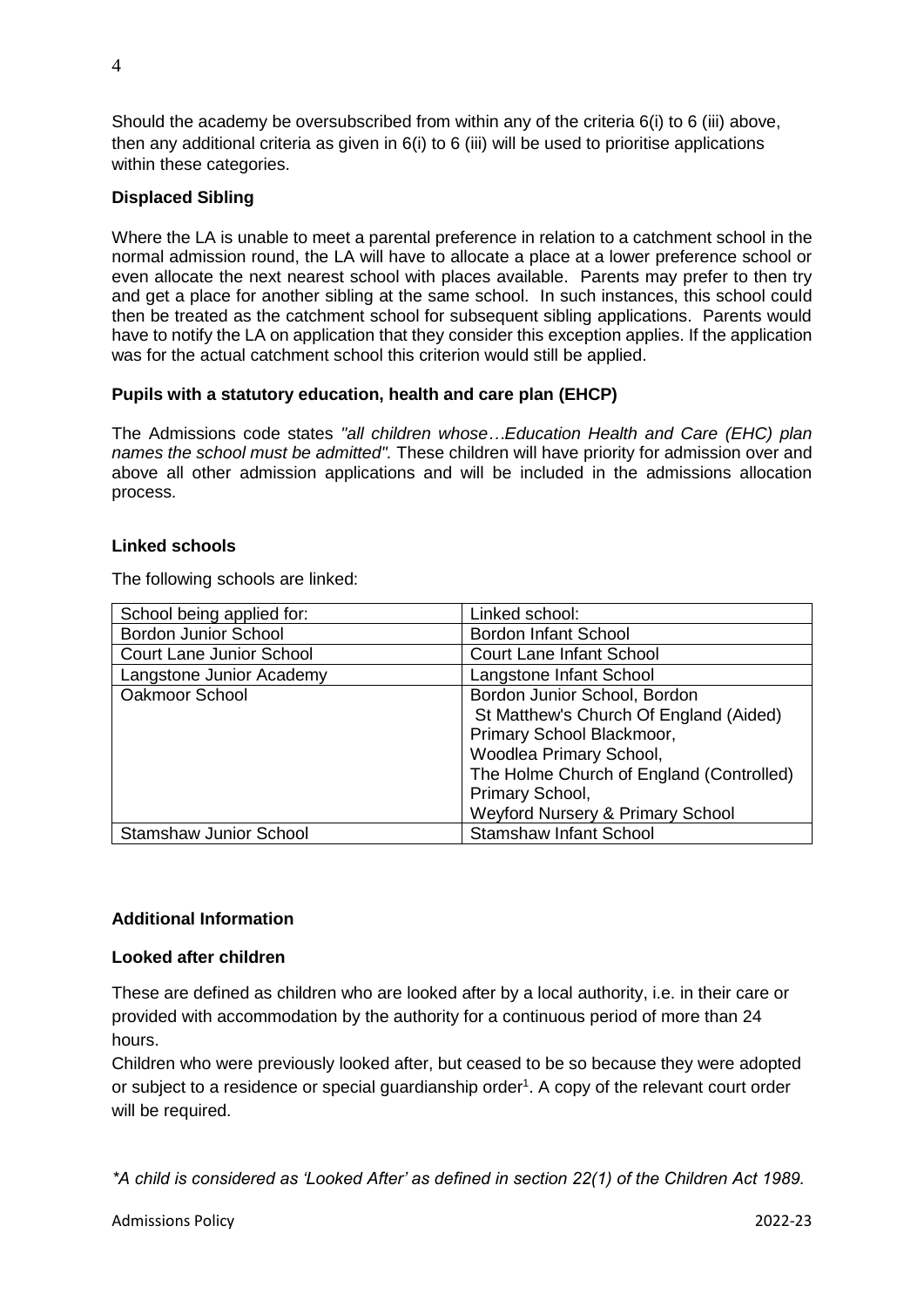Should the academy be oversubscribed from within any of the criteria 6(i) to 6 (iii) above, then any additional criteria as given in  $6(i)$  to 6 (iii) will be used to prioritise applications within these categories.

## **Displaced Sibling**

Where the LA is unable to meet a parental preference in relation to a catchment school in the normal admission round, the LA will have to allocate a place at a lower preference school or even allocate the next nearest school with places available. Parents may prefer to then try and get a place for another sibling at the same school. In such instances, this school could then be treated as the catchment school for subsequent sibling applications. Parents would have to notify the LA on application that they consider this exception applies. If the application was for the actual catchment school this criterion would still be applied.

## **Pupils with a statutory education, health and care plan (EHCP)**

The Admissions code states *"all children whose…Education Health and Care (EHC) plan names the school must be admitted".* These children will have priority for admission over and above all other admission applications and will be included in the admissions allocation process.

## **Linked schools**

The following schools are linked:

| School being applied for:       | Linked school:                              |
|---------------------------------|---------------------------------------------|
| <b>Bordon Junior School</b>     | <b>Bordon Infant School</b>                 |
| <b>Court Lane Junior School</b> | <b>Court Lane Infant School</b>             |
| Langstone Junior Academy        | Langstone Infant School                     |
| Oakmoor School                  | Bordon Junior School, Bordon                |
|                                 | St Matthew's Church Of England (Aided)      |
|                                 | Primary School Blackmoor,                   |
|                                 | Woodlea Primary School,                     |
|                                 | The Holme Church of England (Controlled)    |
|                                 | Primary School,                             |
|                                 | <b>Weyford Nursery &amp; Primary School</b> |
| <b>Stamshaw Junior School</b>   | <b>Stamshaw Infant School</b>               |

# **Additional Information**

#### **Looked after children**

These are defined as children who are looked after by a local authority, i.e. in their care or provided with accommodation by the authority for a continuous period of more than 24 hours.

Children who were previously looked after, but ceased to be so because they were adopted or subject to a residence or special guardianship order<sup>1</sup>. A copy of the relevant court order will be required.

*\*A child is considered as 'Looked After' as defined in section 22(1) of the Children Act 1989.*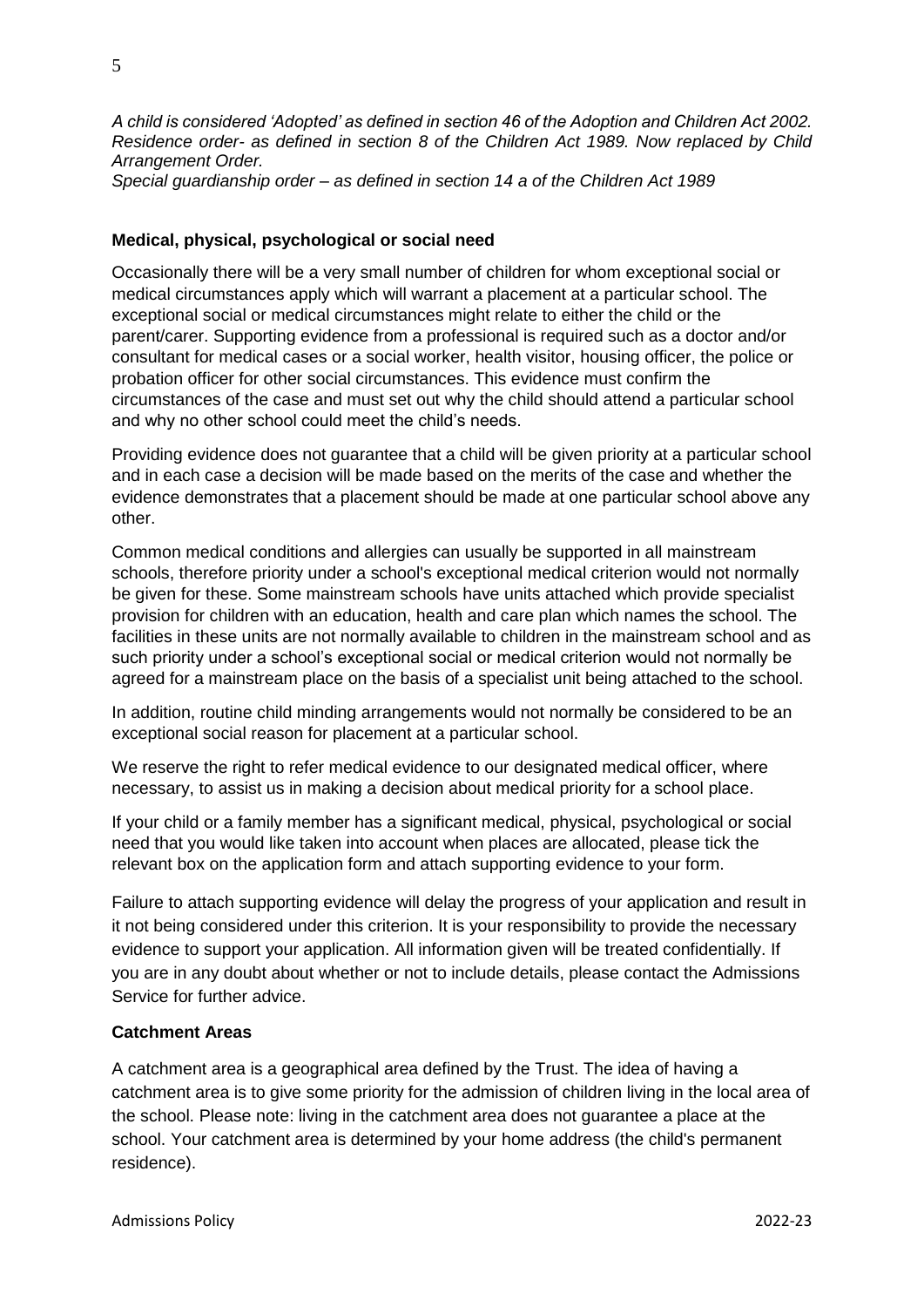*A child is considered 'Adopted' as defined in section 46 of the Adoption and Children Act 2002. Residence order- as defined in section 8 of the Children Act 1989. Now replaced by Child Arrangement Order. Special guardianship order – as defined in section 14 a of the Children Act 1989* 

## **Medical, physical, psychological or social need**

Occasionally there will be a very small number of children for whom exceptional social or medical circumstances apply which will warrant a placement at a particular school. The exceptional social or medical circumstances might relate to either the child or the parent/carer. Supporting evidence from a professional is required such as a doctor and/or consultant for medical cases or a social worker, health visitor, housing officer, the police or probation officer for other social circumstances. This evidence must confirm the circumstances of the case and must set out why the child should attend a particular school and why no other school could meet the child's needs.

Providing evidence does not guarantee that a child will be given priority at a particular school and in each case a decision will be made based on the merits of the case and whether the evidence demonstrates that a placement should be made at one particular school above any other.

Common medical conditions and allergies can usually be supported in all mainstream schools, therefore priority under a school's exceptional medical criterion would not normally be given for these. Some mainstream schools have units attached which provide specialist provision for children with an education, health and care plan which names the school. The facilities in these units are not normally available to children in the mainstream school and as such priority under a school's exceptional social or medical criterion would not normally be agreed for a mainstream place on the basis of a specialist unit being attached to the school.

In addition, routine child minding arrangements would not normally be considered to be an exceptional social reason for placement at a particular school.

We reserve the right to refer medical evidence to our designated medical officer, where necessary, to assist us in making a decision about medical priority for a school place.

If your child or a family member has a significant medical, physical, psychological or social need that you would like taken into account when places are allocated, please tick the relevant box on the application form and attach supporting evidence to your form.

Failure to attach supporting evidence will delay the progress of your application and result in it not being considered under this criterion. It is your responsibility to provide the necessary evidence to support your application. All information given will be treated confidentially. If you are in any doubt about whether or not to include details, please contact the Admissions Service for further advice.

#### **Catchment Areas**

A catchment area is a geographical area defined by the Trust. The idea of having a catchment area is to give some priority for the admission of children living in the local area of the school. Please note: living in the catchment area does not guarantee a place at the school. Your catchment area is determined by your home address (the child's permanent residence).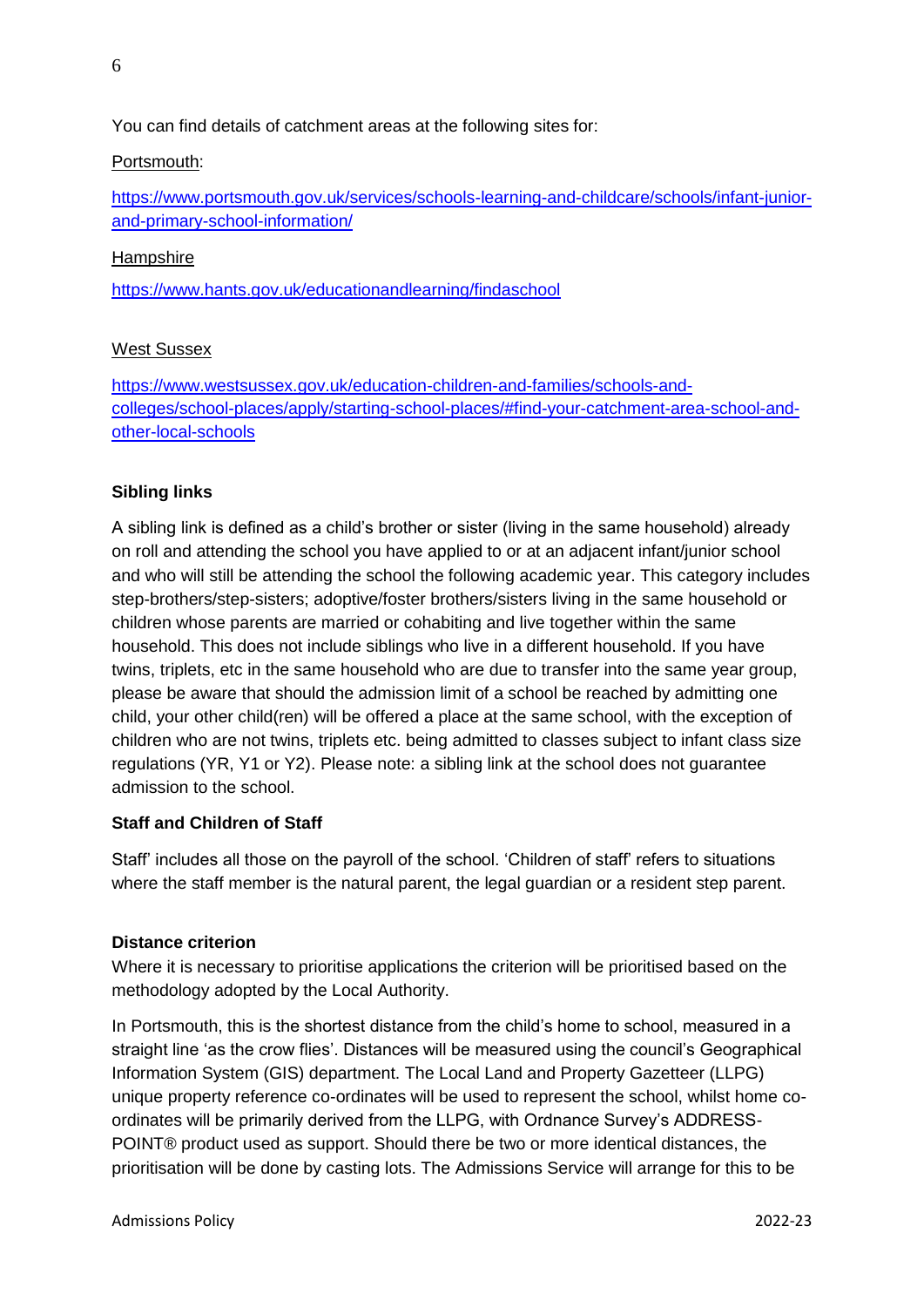You can find details of catchment areas at the following sites for:

## Portsmouth:

[https://www.portsmouth.gov.uk/services/schools-learning-and-childcare/schools/infant-junior](https://www.portsmouth.gov.uk/services/schools-learning-and-childcare/schools/infant-junior-and-primary-school-information/)[and-primary-school-information/](https://www.portsmouth.gov.uk/services/schools-learning-and-childcare/schools/infant-junior-and-primary-school-information/)

## Hampshire

<https://www.hants.gov.uk/educationandlearning/findaschool>

## West Sussex

[https://www.westsussex.gov.uk/education-children-and-families/schools-and](https://protect-eu.mimecast.com/s/iyt2CVNYoHKL9wIGi1SJ?domain=westsussex.gov.uk)[colleges/school-places/apply/starting-school-places/#find-your-catchment-area-school-and](https://protect-eu.mimecast.com/s/iyt2CVNYoHKL9wIGi1SJ?domain=westsussex.gov.uk)[other-local-schools](https://protect-eu.mimecast.com/s/iyt2CVNYoHKL9wIGi1SJ?domain=westsussex.gov.uk)

# **Sibling links**

A sibling link is defined as a child's brother or sister (living in the same household) already on roll and attending the school you have applied to or at an adjacent infant/junior school and who will still be attending the school the following academic year. This category includes step-brothers/step-sisters; adoptive/foster brothers/sisters living in the same household or children whose parents are married or cohabiting and live together within the same household. This does not include siblings who live in a different household. If you have twins, triplets, etc in the same household who are due to transfer into the same year group, please be aware that should the admission limit of a school be reached by admitting one child, your other child(ren) will be offered a place at the same school, with the exception of children who are not twins, triplets etc. being admitted to classes subject to infant class size regulations (YR, Y1 or Y2). Please note: a sibling link at the school does not guarantee admission to the school.

# **Staff and Children of Staff**

Staff' includes all those on the payroll of the school. 'Children of staff' refers to situations where the staff member is the natural parent, the legal guardian or a resident step parent.

#### **Distance criterion**

Where it is necessary to prioritise applications the criterion will be prioritised based on the methodology adopted by the Local Authority.

In Portsmouth, this is the shortest distance from the child's home to school, measured in a straight line 'as the crow flies'. Distances will be measured using the council's Geographical Information System (GIS) department. The Local Land and Property Gazetteer (LLPG) unique property reference co-ordinates will be used to represent the school, whilst home coordinates will be primarily derived from the LLPG, with Ordnance Survey's ADDRESS-POINT® product used as support. Should there be two or more identical distances, the prioritisation will be done by casting lots. The Admissions Service will arrange for this to be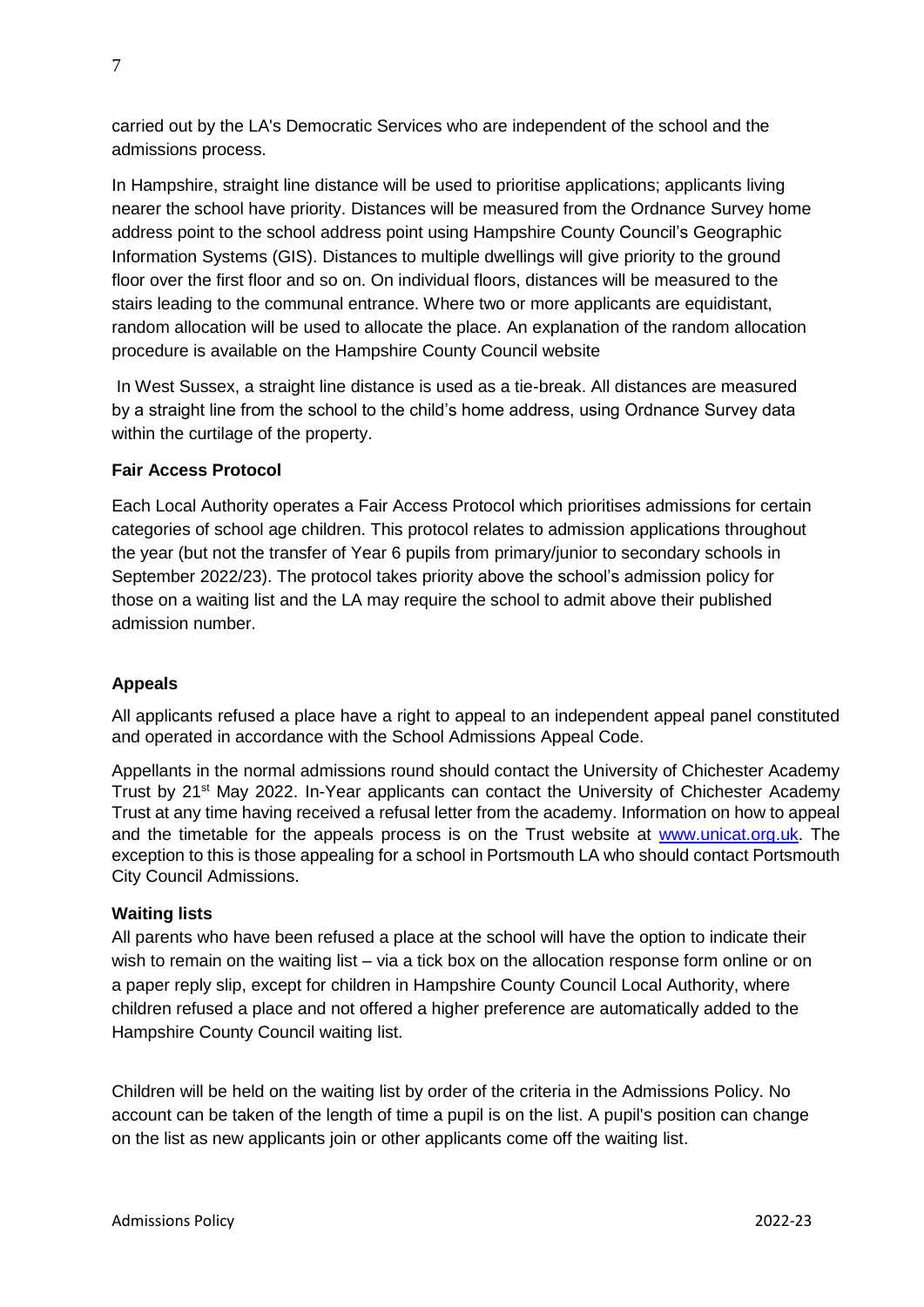carried out by the LA's Democratic Services who are independent of the school and the admissions process.

In Hampshire, straight line distance will be used to prioritise applications; applicants living nearer the school have priority. Distances will be measured from the Ordnance Survey home address point to the school address point using Hampshire County Council's Geographic Information Systems (GIS). Distances to multiple dwellings will give priority to the ground floor over the first floor and so on. On individual floors, distances will be measured to the stairs leading to the communal entrance. Where two or more applicants are equidistant, random allocation will be used to allocate the place. An explanation of the random allocation procedure is available on the Hampshire County Council website

In West Sussex, a straight line distance is used as a tie-break. All distances are measured by a straight line from the school to the child's home address, using Ordnance Survey data within the curtilage of the property.

# **Fair Access Protocol**

Each Local Authority operates a Fair Access Protocol which prioritises admissions for certain categories of school age children. This protocol relates to admission applications throughout the year (but not the transfer of Year 6 pupils from primary/junior to secondary schools in September 2022/23). The protocol takes priority above the school's admission policy for those on a waiting list and the LA may require the school to admit above their published admission number.

# **Appeals**

All applicants refused a place have a right to appeal to an independent appeal panel constituted and operated in accordance with the School Admissions Appeal Code.

Appellants in the normal admissions round should contact the University of Chichester Academy Trust by 21st May 2022. In-Year applicants can contact the University of Chichester Academy Trust at any time having received a refusal letter from the academy. Information on how to appeal and the timetable for the appeals process is on the Trust website at [www.unicat.org.uk.](http://www.unicat.org.uk/) The exception to this is those appealing for a school in Portsmouth LA who should contact Portsmouth City Council Admissions.

#### **Waiting lists**

All parents who have been refused a place at the school will have the option to indicate their wish to remain on the waiting list – via a tick box on the allocation response form online or on a paper reply slip, except for children in Hampshire County Council Local Authority, where children refused a place and not offered a higher preference are automatically added to the Hampshire County Council waiting list.

Children will be held on the waiting list by order of the criteria in the Admissions Policy. No account can be taken of the length of time a pupil is on the list. A pupil's position can change on the list as new applicants join or other applicants come off the waiting list.